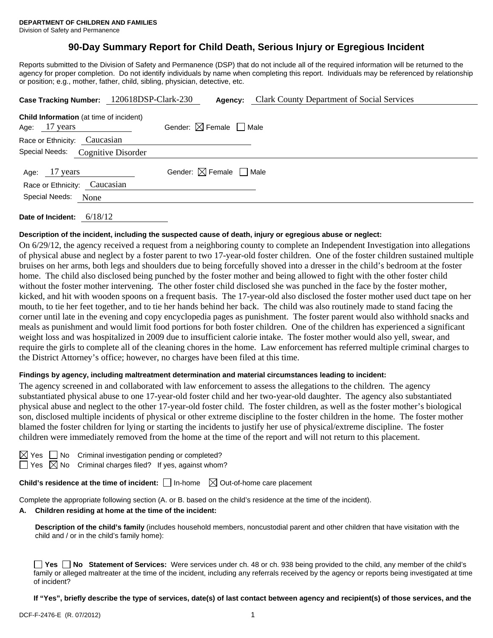# **90-Day Summary Report for Child Death, Serious Injury or Egregious Incident**

Reports submitted to the Division of Safety and Permanence (DSP) that do not include all of the required information will be returned to the agency for proper completion. Do not identify individuals by name when completing this report. Individuals may be referenced by relationship or position; e.g., mother, father, child, sibling, physician, detective, etc.

| Case Tracking Number: 120618DSP-Clark-230                         | <b>Clark County Department of Social Services</b><br>Agency: |  |  |  |  |  |
|-------------------------------------------------------------------|--------------------------------------------------------------|--|--|--|--|--|
| <b>Child Information</b> (at time of incident)<br>Age: $17$ years | Gender: $\boxtimes$ Female $\Box$ Male                       |  |  |  |  |  |
| Race or Ethnicity: Caucasian                                      |                                                              |  |  |  |  |  |
| Special Needs: Cognitive Disorder                                 |                                                              |  |  |  |  |  |
| Age: 17 years<br>Race or Ethnicity: Caucasian                     | Gender: $\boxtimes$ Female $\Box$ Male                       |  |  |  |  |  |
| Special Needs:<br>None                                            |                                                              |  |  |  |  |  |
|                                                                   |                                                              |  |  |  |  |  |

**Date of Incident:** 6/18/12

# **Description of the incident, including the suspected cause of death, injury or egregious abuse or neglect:**

On 6/29/12, the agency received a request from a neighboring county to complete an Independent Investigation into allegations of physical abuse and neglect by a foster parent to two 17-year-old foster children. One of the foster children sustained multiple bruises on her arms, both legs and shoulders due to being forcefully shoved into a dresser in the child's bedroom at the foster home. The child also disclosed being punched by the foster mother and being allowed to fight with the other foster child without the foster mother intervening. The other foster child disclosed she was punched in the face by the foster mother, kicked, and hit with wooden spoons on a frequent basis. The 17-year-old also disclosed the foster mother used duct tape on her mouth, to tie her feet together, and to tie her hands behind her back. The child was also routinely made to stand facing the corner until late in the evening and copy encyclopedia pages as punishment. The foster parent would also withhold snacks and meals as punishment and would limit food portions for both foster children. One of the children has experienced a significant weight loss and was hospitalized in 2009 due to insufficient calorie intake. The foster mother would also yell, swear, and require the girls to complete all of the cleaning chores in the home. Law enforcement has referred multiple criminal charges to the District Attorney's office; however, no charges have been filed at this time.

# **Findings by agency, including maltreatment determination and material circumstances leading to incident:**

The agency screened in and collaborated with law enforcement to assess the allegations to the children. The agency substantiated physical abuse to one 17-year-old foster child and her two-year-old daughter. The agency also substantiated physical abuse and neglect to the other 17-year-old foster child. The foster children, as well as the foster mother's biological son, disclosed multiple incidents of physical or other extreme discipline to the foster children in the home. The foster mother blamed the foster children for lying or starting the incidents to justify her use of physical/extreme discipline. The foster children were immediately removed from the home at the time of the report and will not return to this placement.

No Criminal investigation pending or completed?

Yes  $\boxtimes$  No Criminal charges filed? If yes, against whom?

**Child's residence at the time of incident:**  $\Box$  In-home  $\Box$  Out-of-home care placement

Complete the appropriate following section (A. or B. based on the child's residence at the time of the incident).

#### **A. Children residing at home at the time of the incident:**

**Description of the child's family** (includes household members, noncustodial parent and other children that have visitation with the child and / or in the child's family home):

**Yes No** Statement of Services: Were services under ch. 48 or ch. 938 being provided to the child, any member of the child's family or alleged maltreater at the time of the incident, including any referrals received by the agency or reports being investigated at time of incident?

**If "Yes", briefly describe the type of services, date(s) of last contact between agency and recipient(s) of those services, and the**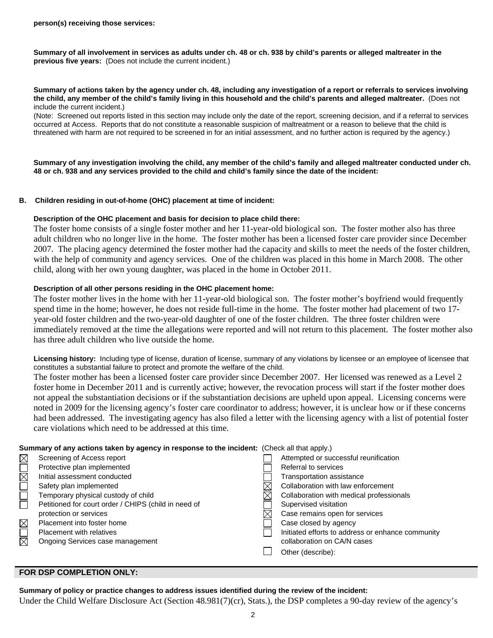**Summary of all involvement in services as adults under ch. 48 or ch. 938 by child's parents or alleged maltreater in the previous five years:** (Does not include the current incident.)

#### **Summary of actions taken by the agency under ch. 48, including any investigation of a report or referrals to services involving the child, any member of the child's family living in this household and the child's parents and alleged maltreater.** (Does not include the current incident.)

(Note: Screened out reports listed in this section may include only the date of the report, screening decision, and if a referral to services occurred at Access. Reports that do not constitute a reasonable suspicion of maltreatment or a reason to believe that the child is threatened with harm are not required to be screened in for an initial assessment, and no further action is required by the agency.)

**Summary of any investigation involving the child, any member of the child's family and alleged maltreater conducted under ch. 48 or ch. 938 and any services provided to the child and child's family since the date of the incident:** 

## **B. Children residing in out-of-home (OHC) placement at time of incident:**

## **Description of the OHC placement and basis for decision to place child there:**

The foster home consists of a single foster mother and her 11-year-old biological son. The foster mother also has three adult children who no longer live in the home. The foster mother has been a licensed foster care provider since December 2007. The placing agency determined the foster mother had the capacity and skills to meet the needs of the foster children, with the help of community and agency services. One of the children was placed in this home in March 2008. The other child, along with her own young daughter, was placed in the home in October 2011.

## **Description of all other persons residing in the OHC placement home:**

The foster mother lives in the home with her 11-year-old biological son. The foster mother's boyfriend would frequently spend time in the home; however, he does not reside full-time in the home. The foster mother had placement of two 17 year-old foster children and the two-year-old daughter of one of the foster children. The three foster children were immediately removed at the time the allegations were reported and will not return to this placement. The foster mother also has three adult children who live outside the home.

**Licensing history:** Including type of license, duration of license, summary of any violations by licensee or an employee of licensee that constitutes a substantial failure to protect and promote the welfare of the child.

The foster mother has been a licensed foster care provider since December 2007. Her licensed was renewed as a Level 2 foster home in December 2011 and is currently active; however, the revocation process will start if the foster mother does not appeal the substantiation decisions or if the substantiation decisions are upheld upon appeal. Licensing concerns were noted in 2009 for the licensing agency's foster care coordinator to address; however, it is unclear how or if these concerns had been addressed. The investigating agency has also filed a letter with the licensing agency with a list of potential foster care violations which need to be addressed at this time.

#### **Summary of any actions taken by agency in response to the incident:** (Check all that apply.)

|                        | Screening of Access report                           | Attempted or successful reunification             |
|------------------------|------------------------------------------------------|---------------------------------------------------|
|                        | Protective plan implemented                          | Referral to services                              |
| $\overline{\boxtimes}$ | Initial assessment conducted                         | Transportation assistance                         |
|                        | Safety plan implemented                              | Collaboration with law enforcement                |
|                        | Temporary physical custody of child                  | Collaboration with medical professionals          |
|                        | Petitioned for court order / CHIPS (child in need of | Supervised visitation                             |
|                        | protection or services                               | Case remains open for services                    |
|                        | Placement into foster home                           | Case closed by agency                             |
|                        | <b>Placement with relatives</b>                      | Initiated efforts to address or enhance community |
| 习                      | Ongoing Services case management                     | collaboration on CA/N cases                       |
|                        |                                                      | Other (describe):                                 |
|                        |                                                      |                                                   |

## **FOR DSP COMPLETION ONLY:**

#### **Summary of policy or practice changes to address issues identified during the review of the incident:**

Under the Child Welfare Disclosure Act (Section 48.981(7)(cr), Stats.), the DSP completes a 90-day review of the agency's